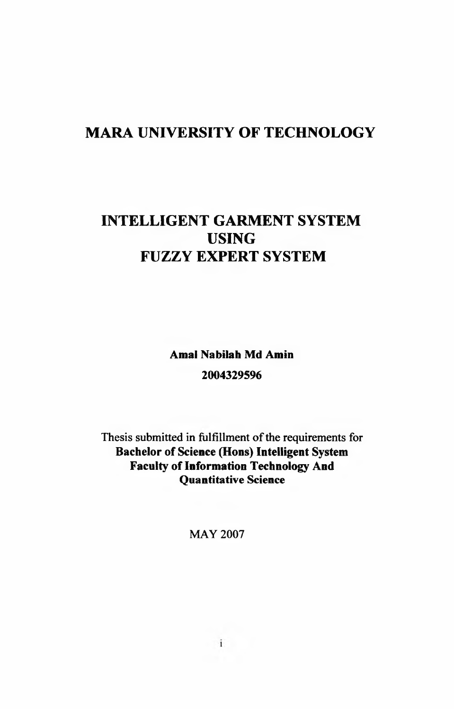# **MARA UNIVERSITY OF TECHNOLOGY**

# **INTELLIGENT GARMENT SYSTEM USING FUZZY EXPERT SYSTEM**

**Amal Nabilah Md Amin 2004329596**

Thesis submitted in fulfillment of the requirements for **Bachelor of Science (Hons) Intelligent System Faculty of Information Technology And Quantitative Science**

MAY 2007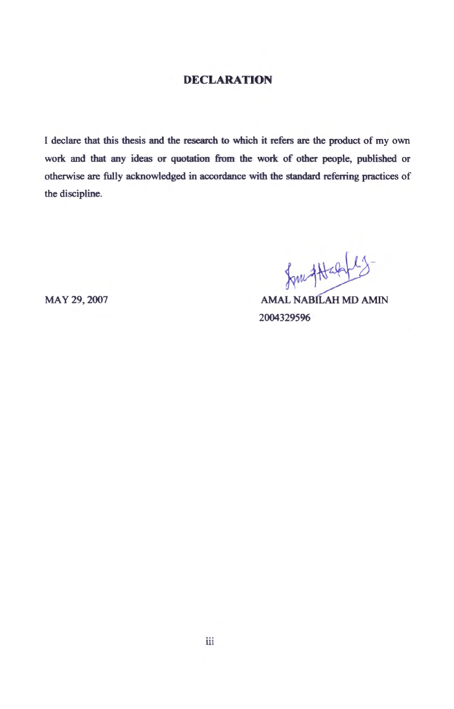#### <span id="page-1-0"></span>**DECLARATION**

I declare that this thesis and the research to which it refers are the product of my own work and that any ideas or quotation from the work of other people, published or otherwise are fully acknowledged in accordance with the standard referring practices of the discipline.

for that 15

MAY 29,2007 AMAL NABILAH MD AMIN 2004329596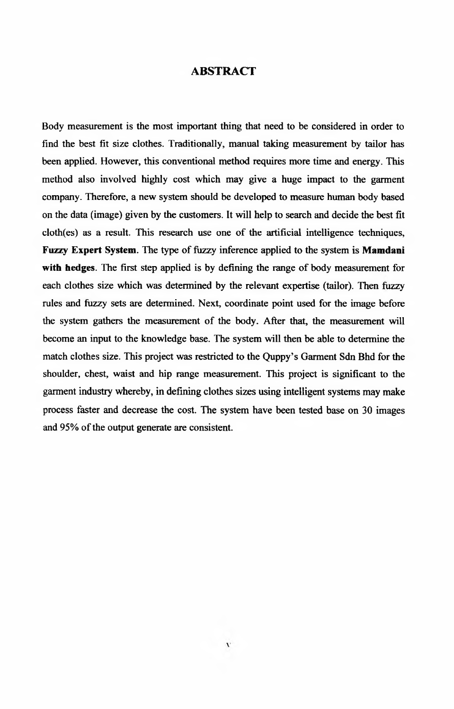#### <span id="page-2-0"></span>**ABSTRACT**

Body measurement is the most important thing that need to be considered in order to find the best fit size clothes. Traditionally, manual taking measurement by tailor has been applied. However, this conventional method requires more time and energy. This method also involved highly cost which may give a huge impact to the garment company. Therefore, a new system should be developed to measure human body based on the data (image) given by the customers. It will help to search and decide the best fit cloth(es) as a result. This research use one of the artificial intelligence techniques, **Fuzzy Expert System.** The type of fuzzy inference applied to the system is **Mamdani with hedges.** The first step applied is by defining the range of body measurement for each clothes size which was determined by the relevant expertise (tailor). Then fuzzy rules and fuzzy sets are determined. Next, coordinate point used for the image before the system gathers the measurement of the body. After that, the measurement will become an input to the knowledge base. The system will then be able to determine the match clothes size. This project was restricted to the Quppy's Garment Sdn Bhd for the shoulder, chest, waist and hip range measurement. This project is significant to the garment industry whereby, in defining clothes sizes using intelligent systems may make process faster and decrease the cost. The system have been tested base on 30 images and 95% of the output generate are consistent.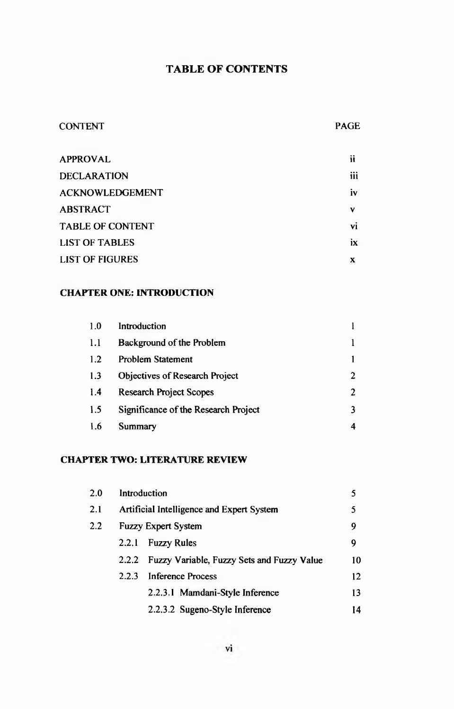## **TABLE OF CONTENTS**

### CONTENT PAGE

| <b>APPROVAL</b>         | ii        |
|-------------------------|-----------|
| <b>DECLARATION</b>      | iii       |
| <b>ACKNOWLEDGEMENT</b>  | <b>iv</b> |
| <b>ABSTRACT</b>         | v         |
| <b>TABLE OF CONTENT</b> | vi        |
| <b>LIST OF TABLES</b>   | ix        |
| <b>LIST OF FIGURES</b>  | x         |
|                         |           |

### **CHAPTER ONE: INTRODUCTION**

| 1.0 | Introduction                          |   |
|-----|---------------------------------------|---|
| 1.1 | Background of the Problem             |   |
| 1.2 | <b>Problem Statement</b>              |   |
| 1.3 | <b>Objectives of Research Project</b> | 2 |
| 1.4 | <b>Research Project Scopes</b>        |   |
| 1.5 | Significance of the Research Project  |   |
| 1.6 | Summary                               |   |

#### **CHAPTER TWO: LITERATURE REVIEW**

| 2.0 | Introduction |                                            | 5  |
|-----|--------------|--------------------------------------------|----|
| 2.1 |              | Artificial Intelligence and Expert System  |    |
| 2.2 |              | <b>Fuzzy Expert System</b>                 | 9  |
|     | 2.2.1        | <b>Fuzzy Rules</b>                         | 9  |
|     | 2.2.2        | Fuzzy Variable, Fuzzy Sets and Fuzzy Value | 10 |
|     | 2.2.3        | Inference Process                          | 12 |
|     |              | 2.2.3.1 Mamdani-Style Inference            | 13 |
|     |              | 2.2.3.2 Sugeno-Style Inference             | 14 |